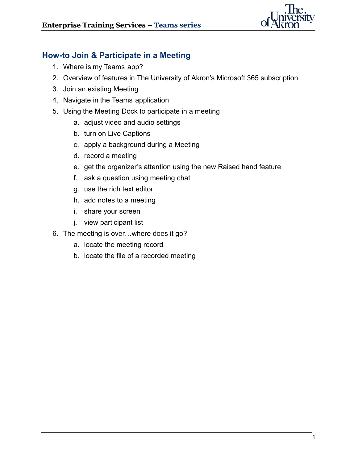

## **How-to Join & Participate in a Meeting**

- 1. Where is my Teams app?
- 2. Overview of features in The University of Akron's Microsoft 365 subscription
- 3. Join an existing Meeting
- 4. Navigate in the Teams application
- 5. Using the Meeting Dock to participate in a meeting
	- a. adjust video and audio settings
	- b. turn on Live Captions
	- c. apply a background during a Meeting
	- d. record a meeting
	- e. get the organizer's attention using the new Raised hand feature
	- f. ask a question using meeting chat
	- g. use the rich text editor
	- h. add notes to a meeting
	- i. share your screen
	- j. view participant list
- 6. The meeting is over…where does it go?
	- a. locate the meeting record
	- b. locate the file of a recorded meeting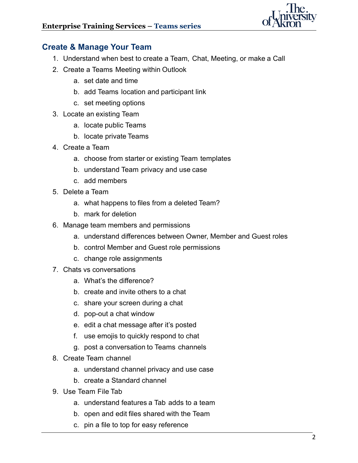

## **Create & Manage Your Team**

- 1. Understand when best to create a Team, Chat, Meeting, or make a Call
- 2. Create a Teams Meeting within Outlook
	- a. set date and time
	- b. add Teams location and participant link
	- c. set meeting options
- 3. Locate an existing Team
	- a. locate public Teams
	- b. locate private Teams
- 4. Create a Team
	- a. choose from starter or existing Team templates
	- b. understand Team privacy and use case
	- c. add members
- 5. Delete a Team
	- a. what happens to files from a deleted Team?
	- b. mark for deletion
- 6. Manage team members and permissions
	- a. understand differences between Owner, Member and Guest roles
	- b. control Member and Guest role permissions
	- c. change role assignments
- 7. Chats vs conversations
	- a. What's the difference?
	- b. create and invite others to a chat
	- c. share your screen during a chat
	- d. pop-out a chat window
	- e. edit a chat message after it's posted
	- f. use emojis to quickly respond to chat
	- g. post a conversation to Teams channels
- 8. Create Team channel
	- a. understand channel privacy and use case
	- b. create a Standard channel
- 9. Use Team File Tab
	- a. understand features a Tab adds to a team
	- b. open and edit files shared with the Team
	- c. pin a file to top for easy reference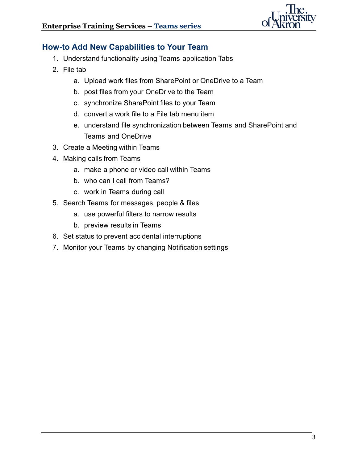

## **How-to Add New Capabilities to Your Team**

- 1. Understand functionality using Teams application Tabs
- 2. File tab
	- a. Upload work files from SharePoint or OneDrive to a Team
	- b. post files from your OneDrive to the Team
	- c. synchronize SharePoint files to your Team
	- d. convert a work file to a File tab menu item
	- e. understand file synchronization between Teams and SharePoint and Teams and OneDrive
- 3. Create a Meeting within Teams
- 4. Making calls from Teams
	- a. make a phone or video call within Teams
	- b. who can I call from Teams?
	- c. work in Teams during call
- 5. Search Teams for messages, people & files
	- a. use powerful filters to narrow results
	- b. preview results in Teams
- 6. Set status to prevent accidental interruptions
- 7. Monitor your Teams by changing Notification settings